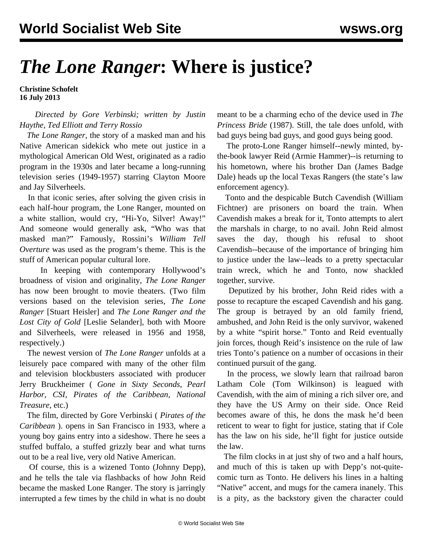## *The Lone Ranger***: Where is justice?**

**Christine Schofelt 16 July 2013**

 *Directed by Gore Verbinski; written by Justin Haythe, Ted Elliott and Terry Rossio*

 *The Lone Ranger*, the story of a masked man and his Native American sidekick who mete out justice in a mythological American Old West, originated as a radio program in the 1930s and later became a long-running television series (1949-1957) starring Clayton Moore and Jay Silverheels.

 In that iconic series, after solving the given crisis in each half-hour program, the Lone Ranger, mounted on a white stallion, would cry, "Hi-Yo, Silver! Away!" And someone would generally ask, "Who was that masked man?" Famously, Rossini's *William Tell Overture* was used as the program's theme. This is the stuff of American popular cultural lore.

 In keeping with contemporary Hollywood's broadness of vision and originality, *The Lone Ranger* has now been brought to movie theaters. (Two film versions based on the television series, *The Lone Ranger* [Stuart Heisler] and *The Lone Ranger and the Lost City of Gold* [Leslie Selander], both with Moore and Silverheels, were released in 1956 and 1958, respectively.)

 The newest version of *The Lone Ranger* unfolds at a leisurely pace compared with many of the other film and television blockbusters associated with producer Jerry Bruckheimer ( *Gone in Sixty Seconds, Pearl Harbor, CSI, Pirates of the Caribbean, National Treasure*, etc.)

 The film, directed by Gore Verbinski ( *Pirates of the Caribbean* ). opens in San Francisco in 1933, where a young boy gains entry into a sideshow. There he sees a stuffed buffalo, a stuffed grizzly bear and what turns out to be a real live, very old Native American.

 Of course, this is a wizened Tonto (Johnny Depp), and he tells the tale via flashbacks of how John Reid became the masked Lone Ranger. The story is jarringly interrupted a few times by the child in what is no doubt meant to be a charming echo of the device used in *The Princess Bride* (1987). Still, the tale does unfold, with bad guys being bad guys, and good guys being good.

 The proto-Lone Ranger himself--newly minted, bythe-book lawyer Reid (Armie Hammer)--is returning to his hometown, where his brother Dan (James Badge Dale) heads up the local Texas Rangers (the state's law enforcement agency).

 Tonto and the despicable Butch Cavendish (William Fichtner) are prisoners on board the train. When Cavendish makes a break for it, Tonto attempts to alert the marshals in charge, to no avail. John Reid almost saves the day, though his refusal to shoot Cavendish--because of the importance of bringing him to justice under the law--leads to a pretty spectacular train wreck, which he and Tonto, now shackled together, survive.

 Deputized by his brother, John Reid rides with a posse to recapture the escaped Cavendish and his gang. The group is betrayed by an old family friend, ambushed, and John Reid is the only survivor, wakened by a white "spirit horse." Tonto and Reid eventually join forces, though Reid's insistence on the rule of law tries Tonto's patience on a number of occasions in their continued pursuit of the gang.

 In the process, we slowly learn that railroad baron Latham Cole (Tom Wilkinson) is leagued with Cavendish, with the aim of mining a rich silver ore, and they have the US Army on their side. Once Reid becomes aware of this, he dons the mask he'd been reticent to wear to fight for justice, stating that if Cole has the law on his side, he'll fight for justice outside the law.

 The film clocks in at just shy of two and a half hours, and much of this is taken up with Depp's not-quitecomic turn as Tonto. He delivers his lines in a halting "Native" accent, and mugs for the camera inanely. This is a pity, as the backstory given the character could